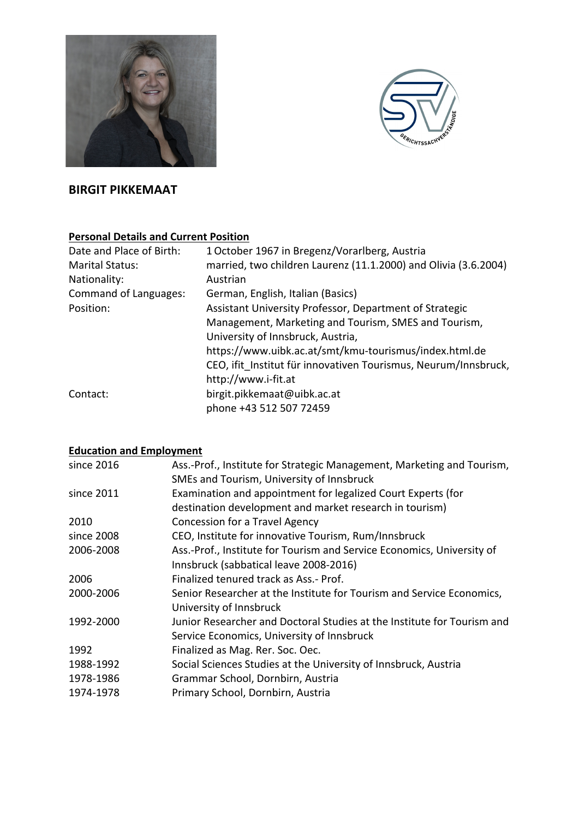



# **BIRGIT PIKKEMAAT**

# **Personal Details and Current Position**

| Date and Place of Birth:     | 1 October 1967 in Bregenz/Vorarlberg, Austria                   |
|------------------------------|-----------------------------------------------------------------|
| <b>Marital Status:</b>       | married, two children Laurenz (11.1.2000) and Olivia (3.6.2004) |
| Nationality:                 | Austrian                                                        |
| <b>Command of Languages:</b> | German, English, Italian (Basics)                               |
| Position:                    | Assistant University Professor, Department of Strategic         |
|                              | Management, Marketing and Tourism, SMES and Tourism,            |
|                              | University of Innsbruck, Austria,                               |
|                              | https://www.uibk.ac.at/smt/kmu-tourismus/index.html.de          |
|                              | CEO, ifit Institut für innovativen Tourismus, Neurum/Innsbruck, |
|                              | http://www.i-fit.at                                             |
| Contact:                     | birgit.pikkemaat@uibk.ac.at                                     |
|                              | phone +43 512 507 72459                                         |

# **Education and Employment**

| Ass.-Prof., Institute for Strategic Management, Marketing and Tourism,<br>SMEs and Tourism, University of Innsbruck |
|---------------------------------------------------------------------------------------------------------------------|
| Examination and appointment for legalized Court Experts (for                                                        |
| destination development and market research in tourism)                                                             |
| Concession for a Travel Agency                                                                                      |
| CEO, Institute for innovative Tourism, Rum/Innsbruck                                                                |
| Ass.-Prof., Institute for Tourism and Service Economics, University of                                              |
| Innsbruck (sabbatical leave 2008-2016)                                                                              |
| Finalized tenured track as Ass.- Prof.                                                                              |
| Senior Researcher at the Institute for Tourism and Service Economics,                                               |
| University of Innsbruck                                                                                             |
| Junior Researcher and Doctoral Studies at the Institute for Tourism and                                             |
| Service Economics, University of Innsbruck                                                                          |
| Finalized as Mag. Rer. Soc. Oec.                                                                                    |
| Social Sciences Studies at the University of Innsbruck, Austria                                                     |
| Grammar School, Dornbirn, Austria                                                                                   |
| Primary School, Dornbirn, Austria                                                                                   |
|                                                                                                                     |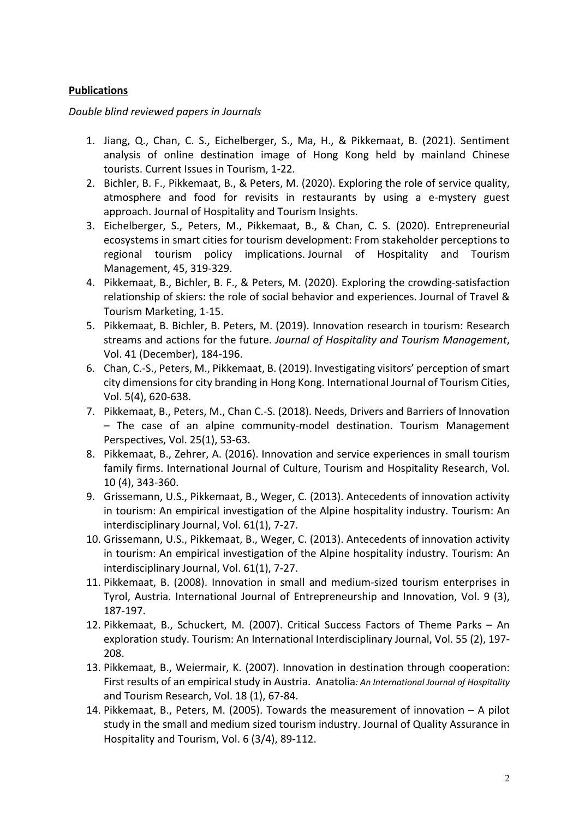#### **Publications**

#### *Double blind reviewed papers in Journals*

- 1. Jiang, Q., Chan, C. S., Eichelberger, S., Ma, H., & Pikkemaat, B. (2021). Sentiment analysis of online destination image of Hong Kong held by mainland Chinese tourists. Current Issues in Tourism, 1-22.
- 2. Bichler, B. F., Pikkemaat, B., & Peters, M. (2020). Exploring the role of service quality, atmosphere and food for revisits in restaurants by using a e-mystery guest approach. Journal of Hospitality and Tourism Insights.
- 3. Eichelberger, S., Peters, M., Pikkemaat, B., & Chan, C. S. (2020). Entrepreneurial ecosystems in smart cities for tourism development: From stakeholder perceptions to regional tourism policy implications. Journal of Hospitality and Tourism Management, 45, 319-329.
- 4. Pikkemaat, B., Bichler, B. F., & Peters, M. (2020). Exploring the crowding-satisfaction relationship of skiers: the role of social behavior and experiences. Journal of Travel & Tourism Marketing, 1-15.
- 5. Pikkemaat, B. Bichler, B. Peters, M. (2019). Innovation research in tourism: Research streams and actions for the future. *Journal of Hospitality and Tourism Management*, Vol. 41 (December), 184-196.
- 6. Chan, C.-S., Peters, M., Pikkemaat, B. (2019). Investigating visitors' perception of smart city dimensions for city branding in Hong Kong. International Journal of Tourism Cities, Vol. 5(4), 620-638.
- 7. Pikkemaat, B., Peters, M., Chan C.-S. (2018). Needs, Drivers and Barriers of Innovation – The case of an alpine community-model destination. Tourism Management Perspectives, Vol. 25(1), 53-63.
- 8. Pikkemaat, B., Zehrer, A. (2016). Innovation and service experiences in small tourism family firms. International Journal of Culture, Tourism and Hospitality Research, Vol. 10 (4), 343-360.
- 9. Grissemann, U.S., Pikkemaat, B., Weger, C. (2013). Antecedents of innovation activity in tourism: An empirical investigation of the Alpine hospitality industry. Tourism: An interdisciplinary Journal, Vol. 61(1), 7-27.
- 10. Grissemann, U.S., Pikkemaat, B., Weger, C. (2013). Antecedents of innovation activity in tourism: An empirical investigation of the Alpine hospitality industry. Tourism: An interdisciplinary Journal, Vol. 61(1), 7-27.
- 11. Pikkemaat, B. (2008). Innovation in small and medium-sized tourism enterprises in Tyrol, Austria. International Journal of Entrepreneurship and Innovation, Vol. 9 (3), 187-197.
- 12. Pikkemaat, B., Schuckert, M. (2007). Critical Success Factors of Theme Parks An exploration study. Tourism: An International Interdisciplinary Journal, Vol. 55 (2), 197- 208.
- 13. Pikkemaat, B., Weiermair, K. (2007). Innovation in destination through cooperation: First results of an empirical study in Austria. Anatolia*: An International Journal of Hospitality*  and Tourism Research, Vol. 18 (1), 67-84.
- 14. Pikkemaat, B., Peters, M. (2005). Towards the measurement of innovation A pilot study in the small and medium sized tourism industry. Journal of Quality Assurance in Hospitality and Tourism, Vol. 6 (3/4), 89-112.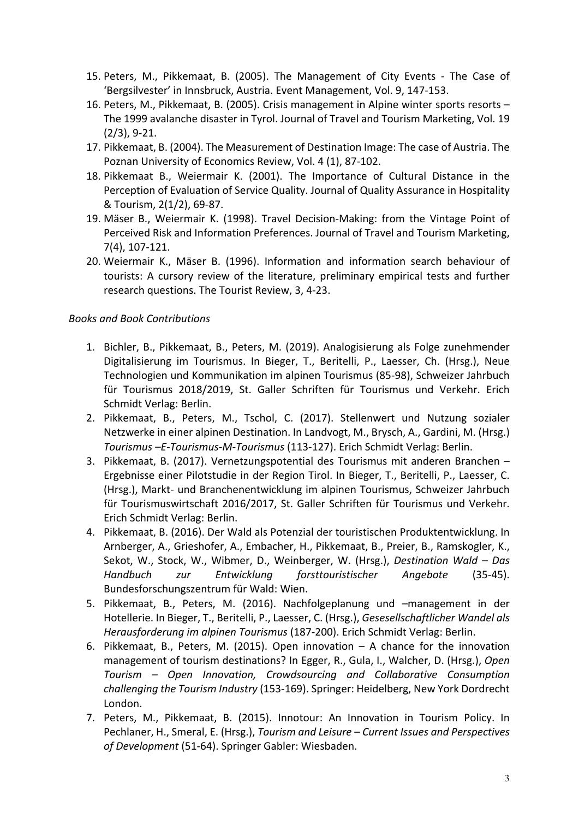- 15. Peters, M., Pikkemaat, B. (2005). The Management of City Events The Case of 'Bergsilvester' in Innsbruck, Austria. Event Management, Vol. 9, 147-153.
- 16. Peters, M., Pikkemaat, B. (2005). Crisis management in Alpine winter sports resorts The 1999 avalanche disaster in Tyrol. Journal of Travel and Tourism Marketing, Vol. 19 (2/3), 9-21.
- 17. Pikkemaat, B. (2004). The Measurement of Destination Image: The case of Austria. The Poznan University of Economics Review, Vol. 4 (1), 87-102.
- 18. Pikkemaat B., Weiermair K. (2001). The Importance of Cultural Distance in the Perception of Evaluation of Service Quality. Journal of Quality Assurance in Hospitality & Tourism, 2(1/2), 69-87.
- 19. Mäser B., Weiermair K. (1998). Travel Decision-Making: from the Vintage Point of Perceived Risk and Information Preferences. Journal of Travel and Tourism Marketing, 7(4), 107-121.
- 20. Weiermair K., Mäser B. (1996). Information and information search behaviour of tourists: A cursory review of the literature, preliminary empirical tests and further research questions. The Tourist Review, 3, 4-23.

## *Books and Book Contributions*

- 1. Bichler, B., Pikkemaat, B., Peters, M. (2019). Analogisierung als Folge zunehmender Digitalisierung im Tourismus. In Bieger, T., Beritelli, P., Laesser, Ch. (Hrsg.), Neue Technologien und Kommunikation im alpinen Tourismus (85-98), Schweizer Jahrbuch für Tourismus 2018/2019, St. Galler Schriften für Tourismus und Verkehr. Erich Schmidt Verlag: Berlin.
- 2. Pikkemaat, B., Peters, M., Tschol, C. (2017). Stellenwert und Nutzung sozialer Netzwerke in einer alpinen Destination. In Landvogt, M., Brysch, A., Gardini, M. (Hrsg.) *Tourismus –E-Tourismus-M-Tourismus* (113-127). Erich Schmidt Verlag: Berlin.
- 3. Pikkemaat, B. (2017). Vernetzungspotential des Tourismus mit anderen Branchen Ergebnisse einer Pilotstudie in der Region Tirol. In Bieger, T., Beritelli, P., Laesser, C. (Hrsg.), Markt- und Branchenentwicklung im alpinen Tourismus, Schweizer Jahrbuch für Tourismuswirtschaft 2016/2017, St. Galler Schriften für Tourismus und Verkehr. Erich Schmidt Verlag: Berlin.
- 4. Pikkemaat, B. (2016). Der Wald als Potenzial der touristischen Produktentwicklung. In Arnberger, A., Grieshofer, A., Embacher, H., Pikkemaat, B., Preier, B., Ramskogler, K., Sekot, W., Stock, W., Wibmer, D., Weinberger, W. (Hrsg.), *Destination Wald – Das Handbuch zur Entwicklung forsttouristischer Angebote* (35-45). Bundesforschungszentrum für Wald: Wien.
- 5. Pikkemaat, B., Peters, M. (2016). Nachfolgeplanung und –management in der Hotellerie. In Bieger, T., Beritelli, P., Laesser, C. (Hrsg.), *Gesesellschaftlicher Wandel als Herausforderung im alpinen Tourismus* (187-200). Erich Schmidt Verlag: Berlin.
- 6. Pikkemaat, B., Peters, M. (2015). Open innovation A chance for the innovation management of tourism destinations? In Egger, R., Gula, I., Walcher, D. (Hrsg.), *Open Tourism – Open Innovation, Crowdsourcing and Collaborative Consumption challenging the Tourism Industry* (153-169). Springer: Heidelberg, New York Dordrecht London.
- 7. Peters, M., Pikkemaat, B. (2015). Innotour: An Innovation in Tourism Policy. In Pechlaner, H., Smeral, E. (Hrsg.), *Tourism and Leisure – Current Issues and Perspectives of Development* (51-64). Springer Gabler: Wiesbaden.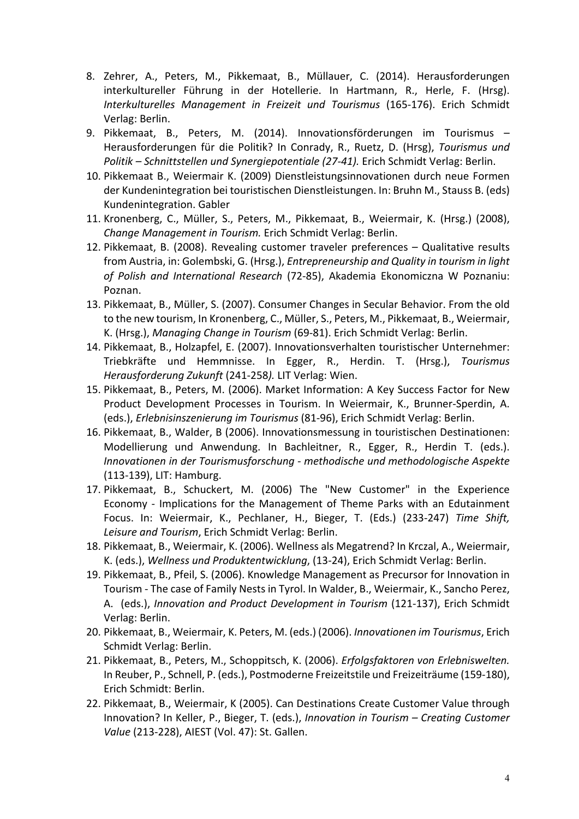- 8. Zehrer, A., Peters, M., Pikkemaat, B., Müllauer, C. (2014). Herausforderungen interkultureller Führung in der Hotellerie. In Hartmann, R., Herle, F. (Hrsg). *Interkulturelles Management in Freizeit und Tourismus* (165-176). Erich Schmidt Verlag: Berlin.
- 9. Pikkemaat, B., Peters, M. (2014). Innovationsförderungen im Tourismus Herausforderungen für die Politik? In Conrady, R., Ruetz, D. (Hrsg), *Tourismus und Politik – Schnittstellen und Synergiepotentiale (27-41).* Erich Schmidt Verlag: Berlin.
- 10. Pikkemaat B., Weiermair K. (2009) Dienstleistungsinnovationen durch neue Formen der Kundenintegration bei touristischen Dienstleistungen. In: Bruhn M., Stauss B. (eds) Kundenintegration. Gabler
- 11. Kronenberg, C., Müller, S., Peters, M., Pikkemaat, B., Weiermair, K. (Hrsg.) (2008), *Change Management in Tourism.* Erich Schmidt Verlag: Berlin.
- 12. Pikkemaat, B. (2008). Revealing customer traveler preferences Qualitative results from Austria, in: Golembski, G. (Hrsg.), *Entrepreneurship and Quality in tourism in light of Polish and International Research* (72-85), Akademia Ekonomiczna W Poznaniu: Poznan.
- 13. Pikkemaat, B., Müller, S. (2007). Consumer Changes in Secular Behavior. From the old to the new tourism, In Kronenberg, C., Müller, S., Peters, M., Pikkemaat, B., Weiermair, K. (Hrsg.), *Managing Change in Tourism* (69-81). Erich Schmidt Verlag: Berlin.
- 14. Pikkemaat, B., Holzapfel, E. (2007). Innovationsverhalten touristischer Unternehmer: Triebkräfte und Hemmnisse. In Egger, R., Herdin. T. (Hrsg.), *Tourismus Herausforderung Zukunft* (241-258*).* LIT Verlag: Wien.
- 15. Pikkemaat, B., Peters, M. (2006). Market Information: A Key Success Factor for New Product Development Processes in Tourism. In Weiermair, K., Brunner-Sperdin, A. (eds.), *Erlebnisinszenierung im Tourismus* (81-96), Erich Schmidt Verlag: Berlin.
- 16. Pikkemaat, B., Walder, B (2006). Innovationsmessung in touristischen Destinationen: Modellierung und Anwendung. In Bachleitner, R., Egger, R., Herdin T. (eds.). *Innovationen in der Tourismusforschung - methodische und methodologische Aspekte* (113-139), LIT: Hamburg.
- 17. Pikkemaat, B., Schuckert, M. (2006) The "New Customer" in the Experience Economy - Implications for the Management of Theme Parks with an Edutainment Focus. In: Weiermair, K., Pechlaner, H., Bieger, T. (Eds.) (233-247) *Time Shift, Leisure and Tourism*, Erich Schmidt Verlag: Berlin.
- 18. Pikkemaat, B., Weiermair, K. (2006). Wellness als Megatrend? In Krczal, A., Weiermair, K. (eds.), *Wellness und Produktentwicklung*, (13-24), Erich Schmidt Verlag: Berlin.
- 19. Pikkemaat, B., Pfeil, S. (2006). Knowledge Management as Precursor for Innovation in Tourism - The case of Family Nests in Tyrol. In Walder, B., Weiermair, K., Sancho Perez, A. (eds.), *Innovation and Product Development in Tourism* (121-137), Erich Schmidt Verlag: Berlin.
- 20. Pikkemaat, B., Weiermair, K. Peters, M. (eds.) (2006). *Innovationen im Tourismus*, Erich Schmidt Verlag: Berlin.
- 21. Pikkemaat, B., Peters, M., Schoppitsch, K. (2006). *Erfolgsfaktoren von Erlebniswelten.* In Reuber, P., Schnell, P. (eds.), Postmoderne Freizeitstile und Freizeiträume (159-180), Erich Schmidt: Berlin.
- 22. Pikkemaat, B., Weiermair, K (2005). Can Destinations Create Customer Value through Innovation? In Keller, P., Bieger, T. (eds.), *Innovation in Tourism – Creating Customer Value* (213-228), AIEST (Vol. 47): St. Gallen.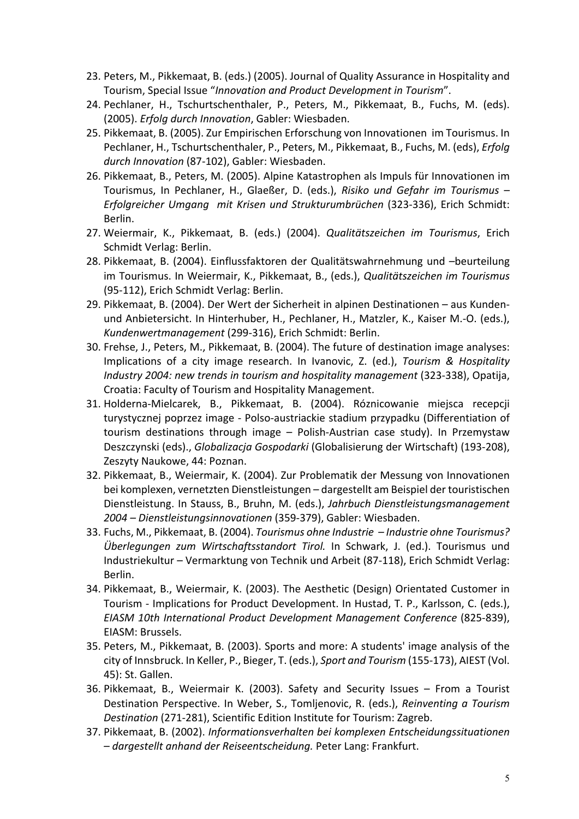- 23. Peters, M., Pikkemaat, B. (eds.) (2005). Journal of Quality Assurance in Hospitality and Tourism, Special Issue "*Innovation and Product Development in Tourism*".
- 24. Pechlaner, H., Tschurtschenthaler, P., Peters, M., Pikkemaat, B., Fuchs, M. (eds). (2005). *Erfolg durch Innovation*, Gabler: Wiesbaden.
- 25. Pikkemaat, B. (2005). Zur Empirischen Erforschung von Innovationen im Tourismus. In Pechlaner, H., Tschurtschenthaler, P., Peters, M., Pikkemaat, B., Fuchs, M. (eds), *Erfolg durch Innovation* (87-102), Gabler: Wiesbaden.
- 26. Pikkemaat, B., Peters, M. (2005). Alpine Katastrophen als Impuls für Innovationen im Tourismus, In Pechlaner, H., Glaeßer, D. (eds.), *Risiko und Gefahr im Tourismus – Erfolgreicher Umgang mit Krisen und Strukturumbrüchen* (323-336), Erich Schmidt: Berlin.
- 27. Weiermair, K., Pikkemaat, B. (eds.) (2004). *Qualitätszeichen im Tourismus*, Erich Schmidt Verlag: Berlin.
- 28. Pikkemaat, B. (2004). Einflussfaktoren der Qualitätswahrnehmung und –beurteilung im Tourismus. In Weiermair, K., Pikkemaat, B., (eds.), *Qualitätszeichen im Tourismus* (95-112), Erich Schmidt Verlag: Berlin.
- 29. Pikkemaat, B. (2004). Der Wert der Sicherheit in alpinen Destinationen aus Kundenund Anbietersicht. In Hinterhuber, H., Pechlaner, H., Matzler, K., Kaiser M.-O. (eds.), *Kundenwertmanagement* (299-316), Erich Schmidt: Berlin.
- 30. Frehse, J., Peters, M., Pikkemaat, B. (2004). The future of destination image analyses: Implications of a city image research. In Ivanovic, Z. (ed.), *Tourism & Hospitality Industry 2004: new trends in tourism and hospitality management* (323-338), Opatija, Croatia: Faculty of Tourism and Hospitality Management.
- 31. Holderna-Mielcarek, B., Pikkemaat, B. (2004). Róznicowanie miejsca recepcji turystycznej poprzez image - Polso-austriackie stadium przypadku (Differentiation of tourism destinations through image – Polish-Austrian case study). In Przemystaw Deszczynski (eds)., *Globalizacja Gospodarki* (Globalisierung der Wirtschaft) (193-208), Zeszyty Naukowe, 44: Poznan.
- 32. Pikkemaat, B., Weiermair, K. (2004). Zur Problematik der Messung von Innovationen bei komplexen, vernetzten Dienstleistungen – dargestellt am Beispiel der touristischen Dienstleistung. In Stauss, B., Bruhn, M. (eds.), *Jahrbuch Dienstleistungsmanagement 2004 – Dienstleistungsinnovationen* (359-379), Gabler: Wiesbaden.
- 33. Fuchs, M., Pikkemaat, B. (2004). *Tourismus ohne Industrie – Industrie ohne Tourismus? Überlegungen zum Wirtschaftsstandort Tirol.* In Schwark, J. (ed.). Tourismus und Industriekultur – Vermarktung von Technik und Arbeit (87-118), Erich Schmidt Verlag: Berlin.
- 34. Pikkemaat, B., Weiermair, K. (2003). The Aesthetic (Design) Orientated Customer in Tourism - Implications for Product Development. In Hustad, T. P., Karlsson, C. (eds.), *EIASM 10th International Product Development Management Conference* (825-839), EIASM: Brussels.
- 35. Peters, M., Pikkemaat, B. (2003). Sports and more: A students' image analysis of the city of Innsbruck. In Keller, P., Bieger, T. (eds.), *Sport and Tourism* (155-173), AIEST (Vol. 45): St. Gallen.
- 36. Pikkemaat, B., Weiermair K. (2003). Safety and Security Issues From a Tourist Destination Perspective. In Weber, S., Tomljenovic, R. (eds.), *Reinventing a Tourism Destination* (271-281), Scientific Edition Institute for Tourism: Zagreb.
- 37. Pikkemaat, B. (2002). *Informationsverhalten bei komplexen Entscheidungssituationen – dargestellt anhand der Reiseentscheidung.* Peter Lang: Frankfurt.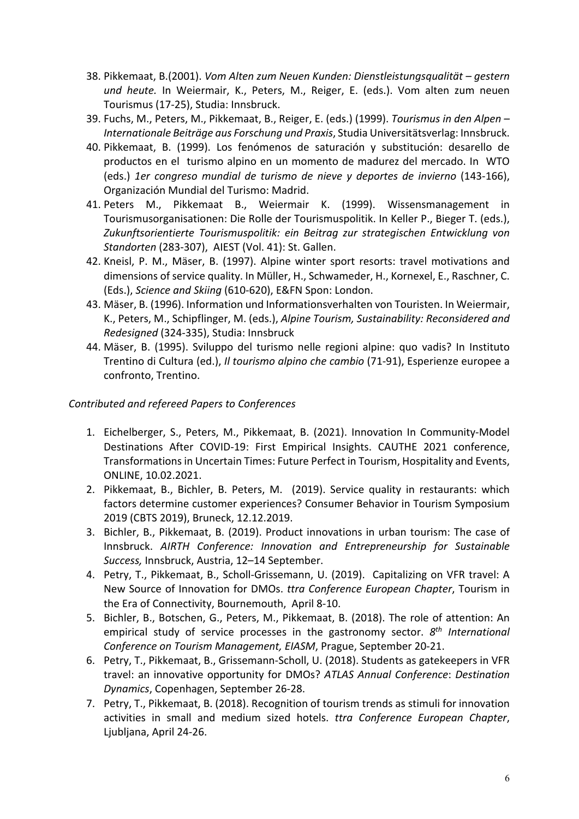- 38. Pikkemaat, B.(2001). *Vom Alten zum Neuen Kunden: Dienstleistungsqualität – gestern und heute.* In Weiermair, K., Peters, M., Reiger, E. (eds.). Vom alten zum neuen Tourismus (17-25), Studia: Innsbruck.
- 39. Fuchs, M., Peters, M., Pikkemaat, B., Reiger, E. (eds.) (1999). *Tourismus in den Alpen – Internationale Beiträge aus Forschung und Praxis*, Studia Universitätsverlag: Innsbruck.
- 40. Pikkemaat, B. (1999). Los fenómenos de saturación y substitución: desarello de productos en el turismo alpino en un momento de madurez del mercado. In WTO (eds.) *1er congreso mundial de turismo de nieve y deportes de invierno* (143-166), Organización Mundial del Turismo: Madrid.
- 41. Peters M., Pikkemaat B., Weiermair K. (1999). Wissensmanagement in Tourismusorganisationen: Die Rolle der Tourismuspolitik. In Keller P., Bieger T. (eds.), *Zukunftsorientierte Tourismuspolitik: ein Beitrag zur strategischen Entwicklung von Standorten* (283-307), AIEST (Vol. 41): St. Gallen.
- 42. Kneisl, P. M., Mäser, B. (1997). Alpine winter sport resorts: travel motivations and dimensions of service quality. In Müller, H., Schwameder, H., Kornexel, E., Raschner, C. (Eds.), *Science and Skiing* (610-620), E&FN Spon: London.
- 43. Mäser, B. (1996). Information und Informationsverhalten von Touristen. In Weiermair, K., Peters, M., Schipflinger, M. (eds.), *Alpine Tourism, Sustainability: Reconsidered and Redesigned* (324-335), Studia: Innsbruck
- 44. Mäser, B. (1995). Sviluppo del turismo nelle regioni alpine: quo vadis? In Instituto Trentino di Cultura (ed.), *Il tourismo alpino che cambio* (71-91), Esperienze europee a confronto, Trentino.

### *Contributed and refereed Papers to Conferences*

- 1. Eichelberger, S., Peters, M., Pikkemaat, B. (2021). Innovation In Community-Model Destinations After COVID-19: First Empirical Insights. CAUTHE 2021 conference, Transformations in Uncertain Times: Future Perfect in Tourism, Hospitality and Events, ONLINE, 10.02.2021.
- 2. Pikkemaat, B., Bichler, B. Peters, M. (2019). Service quality in restaurants: which factors determine customer experiences? Consumer Behavior in Tourism Symposium 2019 (CBTS 2019), Bruneck, 12.12.2019.
- 3. Bichler, B., Pikkemaat, B. (2019). Product innovations in urban tourism: The case of Innsbruck. *AIRTH Conference: Innovation and Entrepreneurship for Sustainable Success,* Innsbruck, Austria, 12–14 September.
- 4. Petry, T., Pikkemaat, B., Scholl-Grissemann, U. (2019). Capitalizing on VFR travel: A New Source of Innovation for DMOs. *ttra Conference European Chapter*, Tourism in the Era of Connectivity, Bournemouth, April 8-10.
- 5. Bichler, B., Botschen, G., Peters, M., Pikkemaat, B. (2018). The role of attention: An empirical study of service processes in the gastronomy sector. *8th International Conference on Tourism Management, EIASM*, Prague, September 20-21.
- 6. Petry, T., Pikkemaat, B., Grissemann-Scholl, U. (2018). Students as gatekeepers in VFR travel: an innovative opportunity for DMOs? *ATLAS Annual Conference*: *Destination Dynamics*, Copenhagen, September 26-28.
- 7. Petry, T., Pikkemaat, B. (2018). Recognition of tourism trends as stimuli for innovation activities in small and medium sized hotels. *ttra Conference European Chapter*, Ljubljana, April 24-26.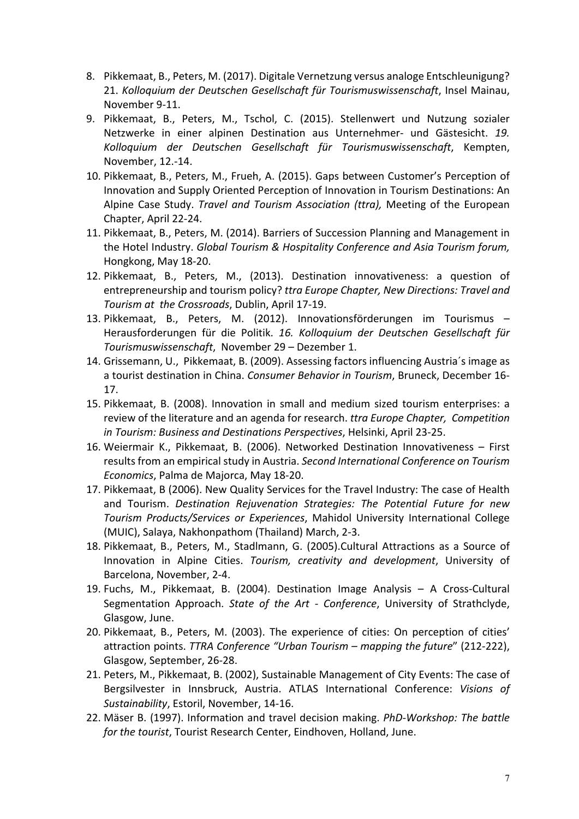- 8. Pikkemaat, B., Peters, M. (2017). Digitale Vernetzung versus analoge Entschleunigung? 21. *Kolloquium der Deutschen Gesellschaft für Tourismuswissenschaft*, Insel Mainau, November 9-11.
- 9. Pikkemaat, B., Peters, M., Tschol, C. (2015). Stellenwert und Nutzung sozialer Netzwerke in einer alpinen Destination aus Unternehmer- und Gästesicht. *19. Kolloquium der Deutschen Gesellschaft für Tourismuswissenschaft*, Kempten, November, 12.-14.
- 10. Pikkemaat, B., Peters, M., Frueh, A. (2015). Gaps between Customer's Perception of Innovation and Supply Oriented Perception of Innovation in Tourism Destinations: An Alpine Case Study. *Travel and Tourism Association (ttra),* Meeting of the European Chapter, April 22-24.
- 11. Pikkemaat, B., Peters, M. (2014). Barriers of Succession Planning and Management in the Hotel Industry. *Global Tourism & Hospitality Conference and Asia Tourism forum,* Hongkong, May 18-20.
- 12. Pikkemaat, B., Peters, M., (2013). Destination innovativeness: a question of entrepreneurship and tourism policy? *ttra Europe Chapter, New Directions: Travel and Tourism at the Crossroads*, Dublin, April 17-19.
- 13. Pikkemaat, B., Peters, M. (2012). Innovationsförderungen im Tourismus Herausforderungen für die Politik. *16. Kolloquium der Deutschen Gesellschaft für Tourismuswissenschaft*, November 29 – Dezember 1.
- 14. Grissemann, U., Pikkemaat, B. (2009). Assessing factors influencing Austria´s image as a tourist destination in China. *Consumer Behavior in Tourism*, Bruneck, December 16- 17.
- 15. Pikkemaat, B. (2008). Innovation in small and medium sized tourism enterprises: a review of the literature and an agenda for research. *ttra Europe Chapter, Competition in Tourism: Business and Destinations Perspectives*, Helsinki, April 23-25.
- 16. Weiermair K., Pikkemaat, B. (2006). Networked Destination Innovativeness First results from an empirical study in Austria. *Second International Conference on Tourism Economics*, Palma de Majorca, May 18-20.
- 17. Pikkemaat, B (2006). New Quality Services for the Travel Industry: The case of Health and Tourism. *Destination Rejuvenation Strategies: The Potential Future for new Tourism Products/Services or Experiences*, Mahidol University International College (MUIC), Salaya, Nakhonpathom (Thailand) March, 2-3.
- 18. Pikkemaat, B., Peters, M., Stadlmann, G. (2005).Cultural Attractions as a Source of Innovation in Alpine Cities. *Tourism, creativity and development*, University of Barcelona, November, 2-4.
- 19. Fuchs, M., Pikkemaat, B. (2004). Destination Image Analysis A Cross-Cultural Segmentation Approach. *State of the Art - Conference*, University of Strathclyde, Glasgow, June.
- 20. Pikkemaat, B., Peters, M. (2003). The experience of cities: On perception of cities' attraction points. *TTRA Conference "Urban Tourism – mapping the future*" (212-222), Glasgow, September, 26-28.
- 21. Peters, M., Pikkemaat, B. (2002), Sustainable Management of City Events: The case of Bergsilvester in Innsbruck, Austria. ATLAS International Conference: *Visions of Sustainability*, Estoril, November, 14-16.
- 22. Mäser B. (1997). Information and travel decision making. *PhD-Workshop: The battle for the tourist*, Tourist Research Center, Eindhoven, Holland, June.